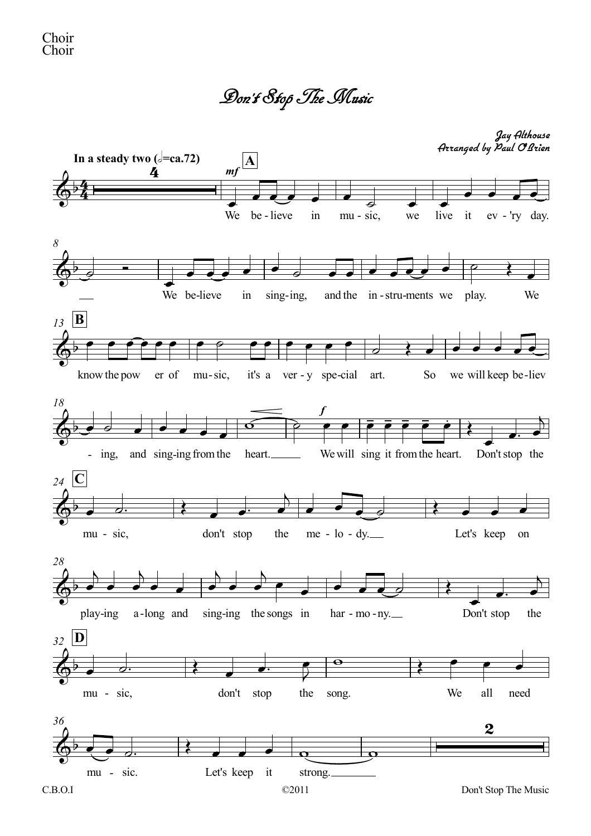Don't StopTheMusic

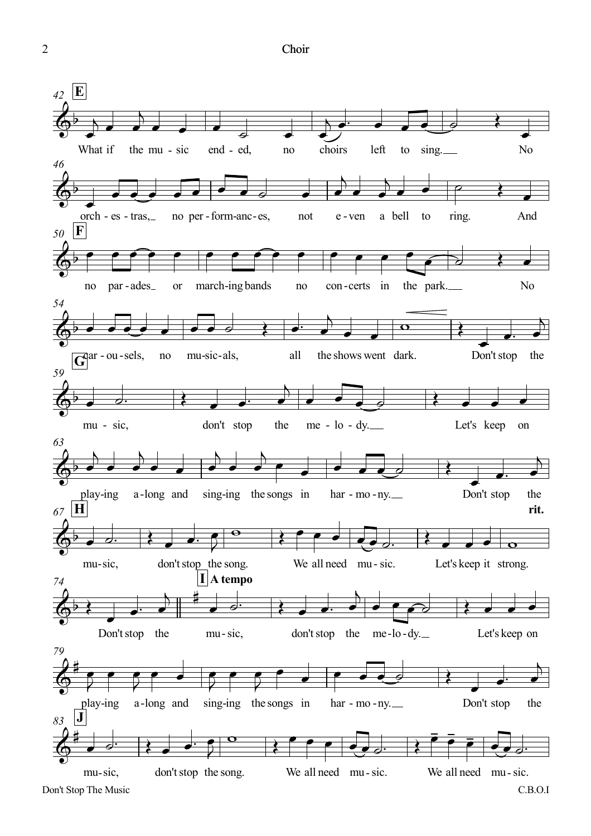Choir